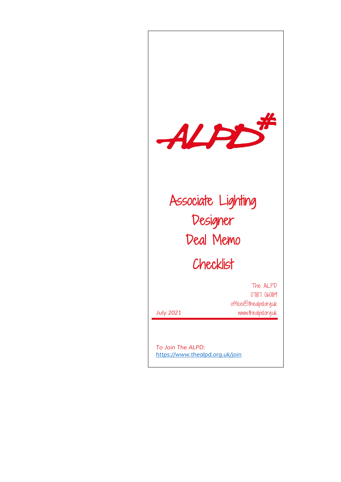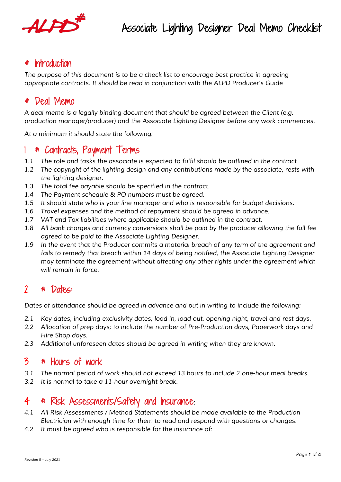

# **Introduction**

*The purpose of this document is to be a check list to encourage best practice in agreeing appropriate contracts. It should be read in conjunction with the ALPD Producer's Guide*

#### # Deal Memo

*A deal memo is a legally binding document that should be agreed between the Client (e.g. production manager/producer) and the Associate Lighting Designer before any work commences.* 

*At a minimum it should state the following:*

# 1 # Contracts, Payment Terms

- *1.1 The role and tasks the associate is expected to fulfil should be outlined in the contract*
- *1.2 The copyright of the lighting design and any contributions made by the associate, rests with the lighting designer.*
- *1.3 The total fee payable should be specified in the contract.*
- *1.4 The Payment schedule & PO numbers must be agreed.*
- *1.5 It should state who is your line manager and who is responsible for budget decisions.*
- *1.6 Travel expenses and the method of repayment should be agreed in advance.*
- *1.7 VAT and Tax liabilities where applicable should be outlined in the contract.*
- *1.8 All bank charges and currency conversions shall be paid by the producer allowing the full fee agreed to be paid to the Associate Lighting Designer.*
- *1.9 In the event that the Producer commits a material breach of any term of the agreement and*  fails to remedy that breach within 14 days of being notified, the Associate Lighting Designer *may terminate the agreement without affecting any other rights under the agreement which will remain in force.*

# 2 # Dates:

*Dates of attendance should be agreed in advance and put in writing to include the following:*

- *2.1 Key dates, including exclusivity dates, load in, load out, opening night, travel and rest days.*
- *2.2 Allocation of prep days; to include the number of Pre-Production days, Paperwork days and Hire Shop days.*
- *2.3 Additional unforeseen dates should be agreed in writing when they are known.*

# 3 # Hours of work

- *3.1 The normal period of work should not exceed 13 hours to include 2 one-hour meal breaks.*
- *3.2 It is normal to take a 11-hour overnight break.*

### 4 # Risk Assessments/Safety and Insurance*:*

- *4.1 All Risk Assessments / Method Statements should be made available to the Production Electrician with enough time for them to read and respond with questions or changes.*
- *4.2 It must be agreed who is responsible for the insurance of:*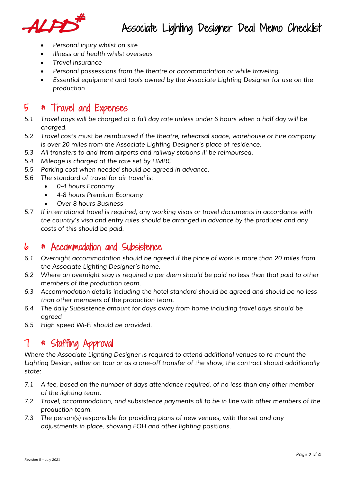

- *Personal injury whilst on site*
- *Illness and health whilst overseas*
- *Travel insurance*
- *Personal possessions from the theatre or accommodation or while traveling,*
- *Essential equipment and tools owned by the Associate Lighting Designer for use on the production*

## 5 # Travel and Expenses

- *5.1 Travel days will be charged at a full day rate unless under 6 hours when a half day will be charged.*
- *5.2 Travel costs must be reimbursed if the theatre, rehearsal space, warehouse or hire company is over 20 miles from the Associate Lighting Designer's place of residence.*
- *5.3 All transfers to and from airports and railway stations ill be reimbursed.*
- *5.4 Mileage is charged at the rate set by HMRC*
- *5.5 Parking cost when needed should be agreed in advance.*
- *5.6 The standard of travel for air travel is:*
	- *0-4 hours Economy*
	- *4-8 hours Premium Economy*
	- *Over 8 hours Business*
- *5.7 If international travel is required, any working visas or travel documents in accordance with the country's visa and entry rules should be arranged in advance by the producer and any costs of this should be paid.*

## 6 # Accommodation and Subsistence

- *6.1 Overnight accommodation should be agreed if the place of work is more than 20 miles from the Associate Lighting Designer's home.*
- *6.2 Where an overnight stay is required a per diem should be paid no less than that paid to other members of the production team.*
- *6.3 Accommodation details including the hotel standard should be agreed and should be no less than other members of the production team.*
- *6.4 The daily Subsistence amount for days away from home including travel days should be agreed*
- *6.5 High speed Wi-Fi should be provided.*

# 7 # Staffing Approval

*Where the Associate Lighting Designer is required to attend additional venues to re-mount the Lighting Design, either on tour or as a one-off transfer of the show, the contract should additionally state:*

- *7.1 A fee, based on the number of days attendance required, of no less than any other member of the lighting team.*
- *7.2 Travel, accommodation, and subsistence payments all to be in line with other members of the production team.*
- *7.3 The person(s) responsible for providing plans of new venues, with the set and any adjustments in place, showing FOH and other lighting positions.*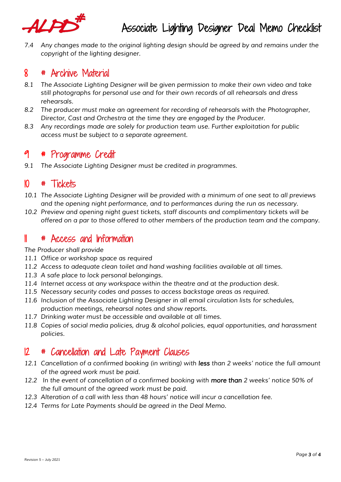

*7.4 Any changes made to the original lighting design should be agreed by and remains under the copyright of the lighting designer.*

#### 8 # Archive Material

- *8.1 The Associate Lighting Designer will be given permission to make their own video and take still photographs for personal use and for their own records of all rehearsals and dress rehearsals.*
- *8.2 The producer must make an agreement for recording of rehearsals with the Photographer, Director, Cast and Orchestra at the time they are engaged by the Producer.*
- *8.3 Any recordings made are solely for production team use. Further exploitation for public access must be subject to a separate agreement.*

## 9 # Programme Credit

*9.1 The Associate Lighting Designer must be credited in programmes.*

#### 10 # Tickets

- *10.1 The Associate Lighting Designer will be provided with a minimum of one seat to all previews and the opening night performance, and to performances during the run as necessary.*
- *10.2 Preview and opening night guest tickets, staff discounts and complimentary tickets will be offered on a par to those offered to other members of the production team and the company.*

#### 11 # Access and Information

#### *The Producer shall provide*

- *11.1 Office or workshop space as required*
- *11.2 Access to adequate clean toilet and hand washing facilities available at all times.*
- *11.3 A safe place to lock personal belongings.*
- *11.4 Internet access at any workspace within the theatre and at the production desk.*
- *11.5 Necessary security codes and passes to access backstage areas as required.*
- *11.6 Inclusion of the Associate Lighting Designer in all email circulation lists for schedules, production meetings, rehearsal notes and show reports.*
- *11.7 Drinking water must be accessible and available at all times.*
- *11.8 Copies of social media policies, drug & alcohol policies, equal opportunities, and harassment policies.*

## 12 # Cancellation and Late Payment Clauses

- *12.1 Cancellation of a confirmed booking (in writing) with less than 2 weeks' notice the full amount of the agreed work must be paid.*
- *12.2 In the event of cancellation of a confirmed booking with more than 2 weeks' notice 50% of the full amount of the agreed work must be paid.*
- *12.3 Alteration of a call with less than 48 hours' notice will incur a cancellation fee.*
- *12.4 Terms for Late Payments should be agreed in the Deal Memo.*